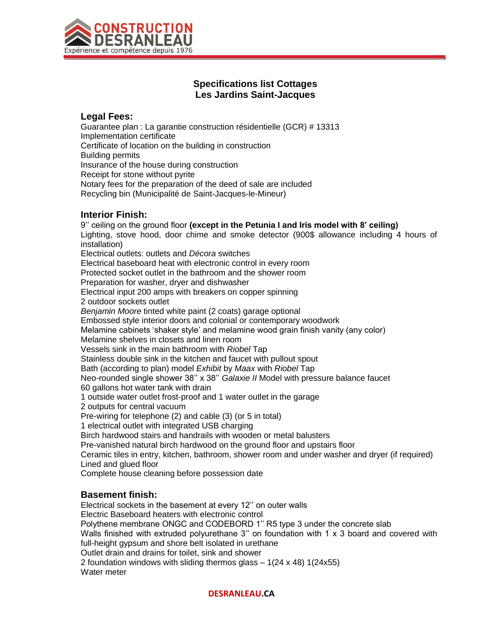

# **Specifications list Cottages Les Jardins Saint-Jacques**

### **Legal Fees:**

Guarantee plan : La garantie construction résidentielle (GCR) # 13313 Implementation certificate Certificate of location on the building in construction Building permits Insurance of the house during construction Receipt for stone without pyrite Notary fees for the preparation of the deed of sale are included Recycling bin (Municipalité de Saint-Jacques-le-Mineur)

### **Interior Finish:**

9'' ceiling on the ground floor **(except in the Petunia I and Iris model with 8' ceiling)** Lighting, stove hood, door chime and smoke detector (900\$ allowance including 4 hours of installation) Electrical outlets: outlets and *Décora* switches Electrical baseboard heat with electronic control in every room Protected socket outlet in the bathroom and the shower room Preparation for washer, dryer and dishwasher Electrical input 200 amps with breakers on copper spinning 2 outdoor sockets outlet *Benjamin Moore* tinted white paint (2 coats) garage optional Embossed style interior doors and colonial or contemporary woodwork Melamine cabinets 'shaker style' and melamine wood grain finish vanity (any color) Melamine shelves in closets and linen room Vessels sink in the main bathroom with *Riobel* Tap Stainless double sink in the kitchen and faucet with pullout spout Bath (according to plan) model *Exhibit* by *Maax* with *Riobel* Tap Neo-rounded single shower 38'' x 38'' *Galaxie II* Model with pressure balance faucet 60 gallons hot water tank with drain 1 outside water outlet frost-proof and 1 water outlet in the garage 2 outputs for central vacuum Pre-wiring for telephone (2) and cable (3) (or 5 in total) 1 electrical outlet with integrated USB charging Birch hardwood stairs and handrails with wooden or metal balusters Pre-vanished natural birch hardwood on the ground floor and upstairs floor Ceramic tiles in entry, kitchen, bathroom, shower room and under washer and dryer (if required) Lined and glued floor Complete house cleaning before possession date

## **Basement finish:**

Electrical sockets in the basement at every 12'' on outer walls Electric Baseboard heaters with electronic control Polythene membrane ONGC and CODEBORD 1'' R5 type 3 under the concrete slab Walls finished with extruded polyurethane 3" on foundation with 1 x 3 board and covered with full-height gypsum and shore belt isolated in urethane Outlet drain and drains for toilet, sink and shower 2 foundation windows with sliding thermos glass – 1(24 x 48) 1(24x55) Water meter

#### **DESRANLEAU.CA**